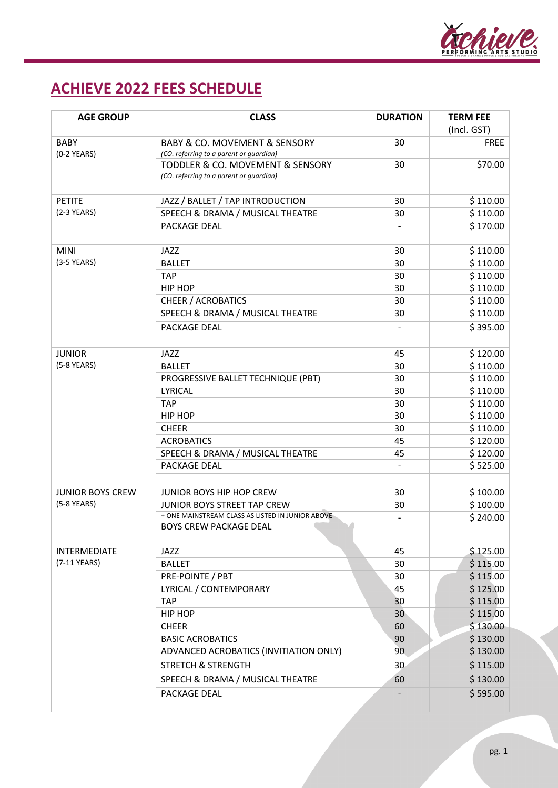

## **ACHIEVE 2022 FEES SCHEDULE**

| <b>AGE GROUP</b>                       | <b>CLASS</b>                                                                            | <b>DURATION</b> | <b>TERM FEE</b>      |
|----------------------------------------|-----------------------------------------------------------------------------------------|-----------------|----------------------|
|                                        |                                                                                         |                 | (Incl. GST)          |
| <b>BABY</b><br>$(0-2$ YEARS)           | <b>BABY &amp; CO. MOVEMENT &amp; SENSORY</b><br>(CO. referring to a parent or guardian) | 30              | <b>FREE</b>          |
|                                        | TODDLER & CO. MOVEMENT & SENSORY                                                        | 30              | \$70.00              |
|                                        | (CO. referring to a parent or guardian)                                                 |                 |                      |
|                                        |                                                                                         |                 |                      |
| <b>PETITE</b>                          | JAZZ / BALLET / TAP INTRODUCTION                                                        | 30              | \$110.00             |
| $(2-3$ YEARS)                          | SPEECH & DRAMA / MUSICAL THEATRE                                                        | 30              | \$110.00             |
|                                        | PACKAGE DEAL                                                                            |                 | \$170.00             |
|                                        |                                                                                         |                 |                      |
| <b>MINI</b>                            | JAZZ                                                                                    | 30              | \$110.00             |
| $(3-5$ YEARS)                          | <b>BALLET</b>                                                                           | 30              | \$110.00             |
|                                        | <b>TAP</b>                                                                              | 30              | \$110.00             |
|                                        | HIP HOP                                                                                 | 30              | \$110.00             |
|                                        | <b>CHEER / ACROBATICS</b>                                                               | 30              | \$110.00             |
|                                        | SPEECH & DRAMA / MUSICAL THEATRE                                                        | 30              | \$110.00             |
|                                        | <b>PACKAGE DEAL</b>                                                                     |                 | \$395.00             |
|                                        |                                                                                         |                 |                      |
| <b>JUNIOR</b>                          | JAZZ                                                                                    | 45              | \$120.00             |
| $(5-8$ YEARS)                          | <b>BALLET</b>                                                                           | 30              | \$110.00             |
|                                        | PROGRESSIVE BALLET TECHNIQUE (PBT)                                                      | 30              | \$110.00             |
|                                        | LYRICAL                                                                                 | 30              | \$110.00             |
|                                        | <b>TAP</b>                                                                              | 30              | \$110.00             |
|                                        | HIP HOP                                                                                 | 30              | \$110.00             |
|                                        | <b>CHEER</b>                                                                            | 30              | \$110.00             |
|                                        | <b>ACROBATICS</b>                                                                       | 45              | \$120.00             |
|                                        | SPEECH & DRAMA / MUSICAL THEATRE<br>PACKAGE DEAL                                        | 45              | \$120.00<br>\$525.00 |
|                                        |                                                                                         |                 |                      |
| <b>JUNIOR BOYS CREW</b><br>(5-8 YEARS) | JUNIOR BOYS HIP HOP CREW                                                                | 30              | \$100.00             |
|                                        | <b>JUNIOR BOYS STREET TAP CREW</b>                                                      | 30              | \$100.00             |
|                                        | + ONE MAINSTREAM CLASS AS LISTED IN JUNIOR ABOVE                                        |                 | \$240.00             |
|                                        | <b>BOYS CREW PACKAGE DEAL</b>                                                           |                 |                      |
|                                        |                                                                                         |                 |                      |
| <b>INTERMEDIATE</b><br>(7-11 YEARS)    | JAZZ                                                                                    | 45              | \$125.00             |
|                                        | <b>BALLET</b>                                                                           | 30              | \$115.00             |
|                                        | PRE-POINTE / PBT                                                                        | 30<br>45        | \$115.00             |
|                                        | LYRICAL / CONTEMPORARY<br><b>TAP</b>                                                    | 30              | \$125.00<br>\$115.00 |
|                                        | HIP HOP                                                                                 | 30              | \$115.00             |
|                                        | <b>CHEER</b>                                                                            | 60              | \$130.00             |
|                                        | <b>BASIC ACROBATICS</b>                                                                 | 90              | \$130.00             |
|                                        | ADVANCED ACROBATICS (INVITIATION ONLY)                                                  | 90              | \$130.00             |
|                                        | <b>STRETCH &amp; STRENGTH</b>                                                           | 30 <sub>1</sub> | \$115.00             |
|                                        |                                                                                         |                 |                      |
|                                        | SPEECH & DRAMA / MUSICAL THEATRE                                                        | 60              | \$130.00             |
|                                        | PACKAGE DEAL                                                                            |                 | \$595.00             |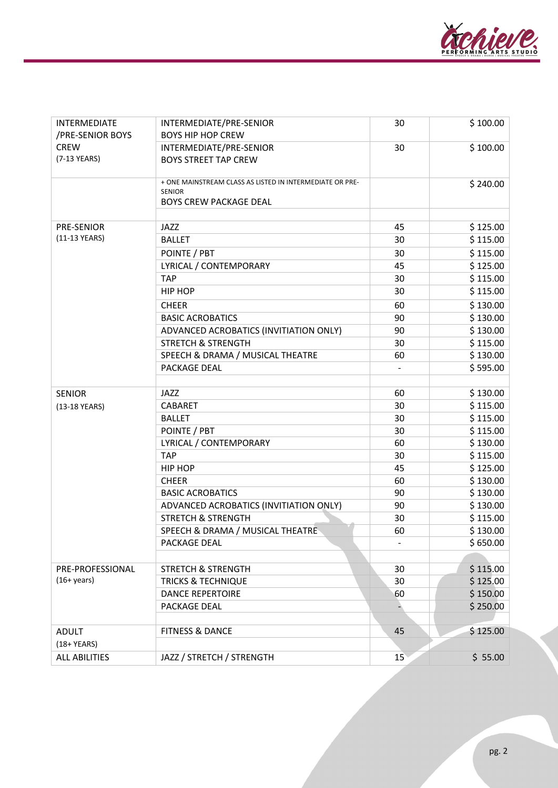

| INTERMEDIATE<br>/PRE-SENIOR BOYS | INTERMEDIATE/PRE-SENIOR<br><b>BOYS HIP HOP CREW</b>                       | 30 | \$100.00 |
|----------------------------------|---------------------------------------------------------------------------|----|----------|
| <b>CREW</b>                      | INTERMEDIATE/PRE-SENIOR                                                   | 30 | \$100.00 |
| (7-13 YEARS)                     | <b>BOYS STREET TAP CREW</b>                                               |    |          |
|                                  | + ONE MAINSTREAM CLASS AS LISTED IN INTERMEDIATE OR PRE-<br><b>SENIOR</b> |    | \$240.00 |
|                                  | <b>BOYS CREW PACKAGE DEAL</b>                                             |    |          |
|                                  |                                                                           |    |          |
| <b>PRE-SENIOR</b>                | JAZZ                                                                      | 45 | \$125.00 |
| (11-13 YEARS)                    | <b>BALLET</b>                                                             | 30 | \$115.00 |
|                                  | POINTE / PBT                                                              | 30 | \$115.00 |
|                                  | LYRICAL / CONTEMPORARY                                                    | 45 | \$125.00 |
|                                  | <b>TAP</b>                                                                | 30 | \$115.00 |
|                                  | HIP HOP                                                                   | 30 | \$115.00 |
|                                  | <b>CHEER</b>                                                              | 60 | \$130.00 |
|                                  | <b>BASIC ACROBATICS</b>                                                   | 90 | \$130.00 |
|                                  | ADVANCED ACROBATICS (INVITIATION ONLY)                                    | 90 | \$130.00 |
|                                  | <b>STRETCH &amp; STRENGTH</b>                                             | 30 | \$115.00 |
|                                  | SPEECH & DRAMA / MUSICAL THEATRE                                          | 60 | \$130.00 |
|                                  | PACKAGE DEAL                                                              |    | \$595.00 |
|                                  |                                                                           |    |          |
| <b>SENIOR</b>                    | JAZZ                                                                      | 60 | \$130.00 |
| (13-18 YEARS)                    | CABARET                                                                   | 30 | \$115.00 |
|                                  | <b>BALLET</b>                                                             | 30 | \$115.00 |
|                                  | POINTE / PBT                                                              | 30 | \$115.00 |
|                                  | LYRICAL / CONTEMPORARY                                                    | 60 | \$130.00 |
|                                  | <b>TAP</b>                                                                | 30 | \$115.00 |
|                                  | HIP HOP                                                                   | 45 | \$125.00 |
|                                  | <b>CHEER</b>                                                              | 60 | \$130.00 |
|                                  | <b>BASIC ACROBATICS</b>                                                   | 90 | \$130.00 |
|                                  | ADVANCED ACROBATICS (INVITIATION ONLY)                                    | 90 | \$130.00 |
|                                  | <b>STRETCH &amp; STRENGTH</b>                                             | 30 | \$115.00 |
|                                  | SPEECH & DRAMA / MUSICAL THEATRE                                          | 60 | \$130.00 |
|                                  | PACKAGE DEAL                                                              |    | \$650.00 |
|                                  |                                                                           |    |          |
| PRE-PROFESSIONAL                 | <b>STRETCH &amp; STRENGTH</b>                                             | 30 | \$115.00 |
| $(16 + \text{years})$            | <b>TRICKS &amp; TECHNIQUE</b>                                             | 30 | \$125.00 |
|                                  | <b>DANCE REPERTOIRE</b>                                                   | 60 | \$150.00 |
|                                  | PACKAGE DEAL                                                              |    | \$250.00 |
|                                  |                                                                           |    |          |
| <b>ADULT</b>                     | <b>FITNESS &amp; DANCE</b>                                                | 45 | \$125.00 |
| $(18+YEARS)$                     |                                                                           |    |          |
| <b>ALL ABILITIES</b>             | JAZZ / STRETCH / STRENGTH                                                 | 15 | \$55.00  |
|                                  |                                                                           |    |          |